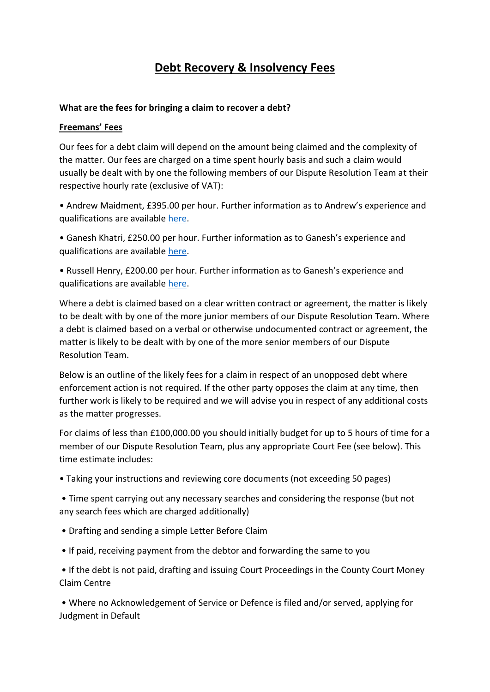# **Debt Recovery & Insolvency Fees**

#### **What are the fees for bringing a claim to recover a debt?**

#### **Freemans' Fees**

Our fees for a debt claim will depend on the amount being claimed and the complexity of the matter. Our fees are charged on a time spent hourly basis and such a claim would usually be dealt with by one the following members of our Dispute Resolution Team at their respective hourly rate (exclusive of VAT):

• Andrew Maidment, £395.00 per hour. Further information as to Andrew's experience and qualifications are available [here.](https://freemanssolicitors.net/team_members/andrew-maidment/)

• Ganesh Khatri, £250.00 per hour. Further information as to Ganesh's experience and qualifications are available [here.](https://freemanssolicitors.net/team_members/ganesh-khatri/)

• Russell Henry, £200.00 per hour. Further information as to Ganesh's experience and qualifications are available [here.](https://freemanssolicitors.net/team_members/russell-henry/)

Where a debt is claimed based on a clear written contract or agreement, the matter is likely to be dealt with by one of the more junior members of our Dispute Resolution Team. Where a debt is claimed based on a verbal or otherwise undocumented contract or agreement, the matter is likely to be dealt with by one of the more senior members of our Dispute Resolution Team.

Below is an outline of the likely fees for a claim in respect of an unopposed debt where enforcement action is not required. If the other party opposes the claim at any time, then further work is likely to be required and we will advise you in respect of any additional costs as the matter progresses.

For claims of less than £100,000.00 you should initially budget for up to 5 hours of time for a member of our Dispute Resolution Team, plus any appropriate Court Fee (see below). This time estimate includes:

• Taking your instructions and reviewing core documents (not exceeding 50 pages)

• Time spent carrying out any necessary searches and considering the response (but not any search fees which are charged additionally)

- Drafting and sending a simple Letter Before Claim
- If paid, receiving payment from the debtor and forwarding the same to you

• If the debt is not paid, drafting and issuing Court Proceedings in the County Court Money Claim Centre

• Where no Acknowledgement of Service or Defence is filed and/or served, applying for Judgment in Default